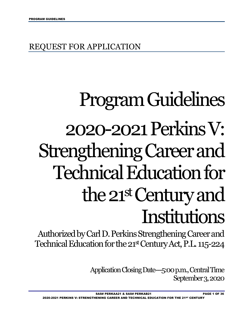## REQUEST FOR APPLICATION

# ProgramGuidelines 2020-2021Perkins V: Strengthening Career and Technical Education for the 21st Century and Institutions

Authorized by Carl D. Perkins Strengthening Career and Technical Education for the 21st Century Act, P.L. 115-224

> Application Closing Date--5:00 p.m., Central Time September 3, 2020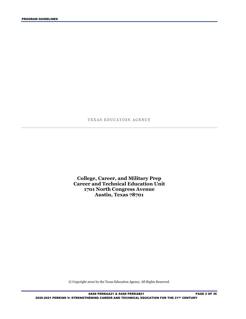TEXAS EDUCATION AGENCY

**College, Career, and Military Prep Career and Technical Education Unit 1701 North Congress Avenue Austin, Texas 78701**

© Copyright 2020 by the Texas Education Agency. All Rights Reserved.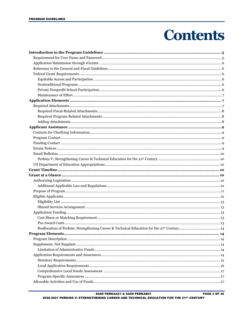## **Contents**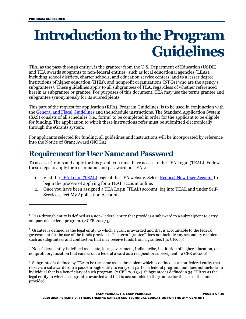$\overline{a}$ 

## <span id="page-4-0"></span>**Introduction to the Program Guidelines**

TEA, as the pass-through entity<sup>1</sup>, is the grantee<sup>[2](#page-4-3)</sup> from the U.S. Department of Education (USDE) and TEA awards subgrants to non-federal entities<sup>[3](#page-4-4)</sup> such as local educational agencies (LEAs), including school districts, charter schools, and education service centers, and to a lesser degree institutions of higher education (IHEs), and nonprofit organizations (NPOs) who are the agency's subgrantees[4](#page-4-5). These guidelines apply to all subgrantees of TEA, regardless of whether referenced herein as subgrantee or grantee. For purposes of this document, TEA may use the terms grantee and subgrantee synonymously for its subrecipients.

This part of the request for application (RFA), Program Guidelines, is to be used in conjunction with the [General and Fiscal Guidelines](http://tea.texas.gov/WorkArea/linkit.aspx?LinkIdentifier=id&ItemID=25769819073) and the schedule instructions. The Standard Application System (SAS) consists of all schedules (i.e., forms) to be completed in order for the applicant to be eligible for funding. The application to which these instructions refer must be submitted electronically through the eGrants system.

For applicants selected for funding, all guidelines and instructions will be incorporated by reference into the Notice of Grant Award (NOGA).

### <span id="page-4-1"></span>**Requirement for User Name and Password**

To access eGrants and apply for this grant, you must have access to the TEA Login (TEAL). Follow these steps to apply for a user name and password on TEAL:

- 1. Visit the [TEA Login \(TEAL\)](https://pryor.tea.state.tx.us/) page of the TEA website. Select [Request New User Account](https://pryor.tea.state.tx.us/TSP/TEASecurePortal/jsp/manage_profile.jsp) to begin the process of applying for a TEAL account online.
- 2. Once you have been assigned a TEA Login (TEAL) account, log into TEAL and under Self-Service select My Application Accounts.

<span id="page-4-4"></span> $3$  Non-federal entity is defined as a state, local government, Indian tribe, institution of higher education, or nonprofit organization that carries out a federal award as a recipient or subrecipient. (2 CFR 200.69)

<span id="page-4-5"></span>4 Subgrantee is defined by TEA to be the same as a subrecipient which is defined as a non-federal entity that receives a subaward from a pass-through entity to carry out part of a federal program; but does not include an individual that is a beneficiary of such program. (2 CFR 200.93) Subgrantee is defined in 34 CFR 77 as the legal entity to which a subgrant is awarded and that is accountable to the grantee for the use of the funds provided.

<span id="page-4-2"></span><sup>&</sup>lt;sup>1</sup> Pass-through entity is defined as a non-Federal entity that provides a subaward to a subrecipient to carry out part of a federal program. (2 CFR 200.74)

<span id="page-4-3"></span> $2$  Grantee is defined as the legal entity to which a grant is awarded and that is accountable to the federal government for the use of the funds provided. The term "grantee" does not include any secondary recipients, such as subgrantees and contractors that may receive funds from a grantee. (34 CFR 77)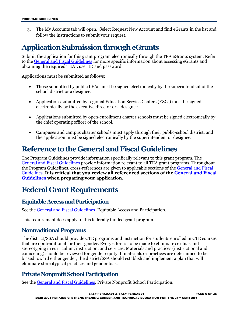3. The My Accounts tab will open. Select Request New Account and find eGrants in the list and follow the instructions to submit your request.

## <span id="page-5-0"></span>**Application Submission through eGrants**

Submit the application for this grant program electronically through the TEA eGrants system. Refer to th[e General and Fiscal Guidelines](http://tea.texas.gov/WorkArea/linkit.aspx?LinkIdentifier=id&ItemID=25769819073) for more specific information about accessing eGrants and obtaining the required TEAL user ID and password.

Applications must be submitted as follows:

- Those submitted by public LEAs must be signed electronically by the superintendent of the school district or a designee.
- Applications submitted by regional Education Service Centers (ESCs) must be signed electronically by the executive director or a designee.
- Applications submitted by open-enrollment charter schools must be signed electronically by the chief operating officer of the school.
- Campuses and campus charter schools must apply through their public-school district, and the application must be signed electronically by the superintendent or designee.

## <span id="page-5-1"></span>**Reference to the General and Fiscal Guidelines**

The Program Guidelines provide information specifically relevant to this grant program. The [General and Fiscal Guidelines](http://tea.texas.gov/WorkArea/linkit.aspx?LinkIdentifier=id&ItemID=25769819073) provide information relevant to all TEA grant programs. Throughout the Program Guidelines, cross-references are given to applicable sections of th[e General and Fiscal](http://tea.texas.gov/WorkArea/linkit.aspx?LinkIdentifier=id&ItemID=25769819073)  [Guidelines.](http://tea.texas.gov/WorkArea/linkit.aspx?LinkIdentifier=id&ItemID=25769819073) **It is critical that you review all referenced sections of the [General and Fiscal](http://tea.texas.gov/WorkArea/linkit.aspx?LinkIdentifier=id&ItemID=25769819073)  [Guidelines](http://tea.texas.gov/WorkArea/linkit.aspx?LinkIdentifier=id&ItemID=25769819073) when preparing your application.**

## <span id="page-5-2"></span>**Federal Grant Requirements**

#### <span id="page-5-3"></span>**Equitable Access and Participation**

See th[e General and Fiscal Guidelines,](http://tea.texas.gov/WorkArea/linkit.aspx?LinkIdentifier=id&ItemID=25769819073) Equitable Access and Participation.

This requirement does apply to this federally funded grant program.

#### <span id="page-5-4"></span>**Nontraditional Programs**

The district/SSA should provide CTE programs and instruction for students enrolled in CTE courses that are nontraditional for their gender. Every effort is to be made to eliminate sex bias and stereotyping in curriculum, instruction, and services. Materials and practices (instructional and counseling) should be reviewed for gender equity. If materials or practices are determined to be biased toward either gender, the district/SSA should establish and implement a plan that will eliminate stereotypical practices and gender bias.

#### <span id="page-5-5"></span>**Private NonprofitSchool Participation**

See th[e General and Fiscal Guidelines,](http://tea.texas.gov/WorkArea/linkit.aspx?LinkIdentifier=id&ItemID=25769819073) Private Nonprofit School Participation.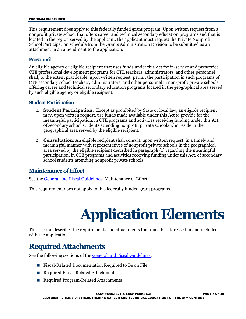#### PROGRAM GUIDELINES

This requirement does apply to this federally funded grant program. Upon written request from a nonprofit private school that offers career and technical secondary education programs and that is located in the region served by the applicant, the applicant must request the Private Nonprofit School Participation schedule from the Grants Administration Division to be submitted as an attachment in an amendment to the application.

#### **Personnel**

An eligible agency or eligible recipient that uses funds under this Act for in-service and preservice CTE professional development programs for CTE teachers, administrators, and other personnel shall, to the extent practicable, upon written request, permit the participation in such programs of CTE secondary school teachers, administrators, and other personnel in non-profit private schools offering career and technical secondary education programs located in the geographical area served by such eligible agency or eligible recipient.

#### **Student Participation**

- 1. **Student Participation:** Except as prohibited by State or local law, an eligible recipient may, upon written request, use funds made available under this Act to provide for the meaningful participation, in CTE programs and activities receiving funding under this Act, of secondary school students attending nonprofit private schools who reside in the geographical area served by the eligible recipient.
- 2. **Consultation:** An eligible recipient shall consult, upon written request, in a timely and meaningful manner with representatives of nonprofit private schools in the geographical area served by the eligible recipient described in paragraph (1) regarding the meaningful participation, in CTE programs and activities receiving funding under this Act, of secondary school students attending nonprofit private schools.

#### <span id="page-6-0"></span>**Maintenance of Effort**

See th[e General and Fiscal Guidelines,](http://tea.texas.gov/WorkArea/linkit.aspx?LinkIdentifier=id&ItemID=25769819073) Maintenance of Effort.

<span id="page-6-1"></span>This requirement does not apply to this federally funded grant programs.

## **Application Elements**

This section describes the requirements and attachments that must be addressed in and included with the application.

## <span id="page-6-2"></span>**Required Attachments**

See the following sections of th[e General and Fiscal Guidelines:](http://tea.texas.gov/WorkArea/linkit.aspx?LinkIdentifier=id&ItemID=25769819073)

- Fiscal-Related Documentation Required to Be on File
- Required Fiscal-Related Attachments
- Required Program-Related Attachments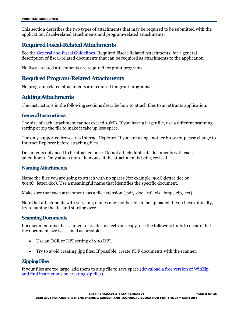This section describes the two types of attachments that may be required to be submitted with the application: fiscal-related attachments and program-related attachments.

#### <span id="page-7-0"></span>**Required Fiscal-Related Attachments**

See th[e General and Fiscal Guidelines,](http://tea.texas.gov/WorkArea/linkit.aspx?LinkIdentifier=id&ItemID=25769819073) Required Fiscal-Related Attachments, for a general description of fiscal-related documents that can be required as attachments to the application.

No fiscal-related attachments are required for grant programs.

#### <span id="page-7-1"></span>**Required Program-Related Attachments**

No program-related attachments are required for grant programs.

#### <span id="page-7-2"></span>**Adding Attachments**

The instructions in the following sections describe how to attach files to an eGrants application.

#### **General Instructions**

The size of each attachment cannot exceed 10MB. If you have a larger file, use a different scanning setting or zip the file to make it take up less space.

The only supported browser is Internet Explorer. If you are using another browser, please change to Internet Explorer before attaching files.

Documents only need to be attached once. Do not attach duplicate documents with each amendment. Only attach more than once if the attachment is being revised.

#### **Naming Attachments**

Name the files you are going to attach with no spaces (for example, 501C3letter.doc or 5013C\_letter.doc). Use a meaningful name that identifies the specific document.

Make sure that each attachment has a file extension (.pdf, .doc, .rtf, .xls, .bmp, .zip, .txt).

Note that attachments with very long names may not be able to be uploaded. If you have difficulty, try renaming the file and starting over.

#### **Scanning Documents**

If a document must be scanned to create an electronic copy, use the following hints to ensure that the document size is as small as possible:

- Use an OCR or DPI setting of 200 DPI.
- Try to avoid creating .jpg files. If possible, create PDF documents with the scanner.

#### **Zipping Files**

If your files are too large, add them to a zip file to save space [\(download a free version of WinZip](http://www.winzip.com/downwz.htm)  [and find instructions on creating zip files\)](http://www.winzip.com/downwz.htm).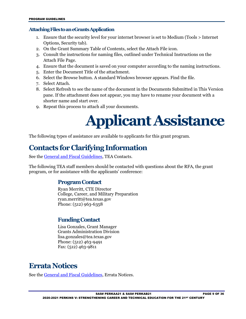#### **Attaching Files to an eGrants Application**

- 1. Ensure that the security level for your internet browser is set to Medium (Tools > Internet Options, Security tab).
- 2. On the Grant Summary Table of Contents, select the Attach File icon.
- 3. Consult the instructions for naming files, outlined under Technical Instructions on the Attach File Page.
- 4. Ensure that the document is saved on your computer according to the naming instructions.
- 5. Enter the Document Title of the attachment.
- 6. Select the Browse button. A standard Windows browser appears. Find the file.
- 7. Select Attach.
- 8. Select Refresh to see the name of the document in the Documents Submitted in This Version pane. If the attachment does not appear, you may have to rename your document with a shorter name and start over.
- <span id="page-8-0"></span>9. Repeat this process to attach all your documents.

## **Applicant Assistance**

The following types of assistance are available to applicants for this grant program.

## <span id="page-8-1"></span>**Contacts for Clarifying Information**

See th[e General and Fiscal Guidelines,](http://tea.texas.gov/WorkArea/linkit.aspx?LinkIdentifier=id&ItemID=25769819073) TEA Contacts.

The following TEA staff members should be contacted with questions about the RFA, the grant program, or for assistance with the applicants' conference:

#### <span id="page-8-2"></span>**Program Contact**

Ryan Merritt, CTE Director College, Career, and Military Preparation ryan.merritt@tea.texas.gov Phone: (512) 963-6358

#### <span id="page-8-3"></span>**Funding Contact**

Lisa Gonzales, Grant Manager Grants Administration Division lisa.gonzales@tea.texas.gov Phone: (512) 463-9491 Fax: (512) 463-9811

## <span id="page-8-4"></span>**Errata Notices**

See th[e General and Fiscal Guidelines,](http://tea.texas.gov/WorkArea/linkit.aspx?LinkIdentifier=id&ItemID=25769819073) Errata Notices.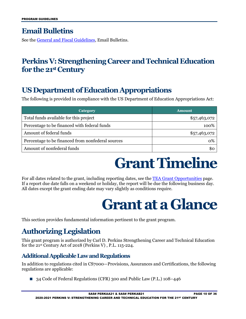## <span id="page-9-0"></span>**Email Bulletins**

See th[e General and Fiscal Guidelines,](http://tea.texas.gov/WorkArea/linkit.aspx?LinkIdentifier=id&ItemID=25769819073) Email Bulletins.

## <span id="page-9-1"></span>Perkins V: Strengthening Career and Technical Education for the 21st Century

## <span id="page-9-2"></span>**US Department of Education Appropriations**

The following is provided in compliance with the US Department of Education Appropriations Act:

| Category                                          | <b>Amount</b> |
|---------------------------------------------------|---------------|
| Total funds available for this project            | \$57,463,072  |
| Percentage to be financed with federal funds      | 100%          |
| Amount of federal funds                           | \$57,463,072  |
| Percentage to be financed from nonfederal sources | 0%            |
| Amount of nonfederal funds                        | SС            |

## **Grant Timeline**

<span id="page-9-4"></span><span id="page-9-3"></span>For all dates related to the grant, including reporting dates, see the **TEA Grant Opportunities** page. If a report due date falls on a weekend or holiday, the report will be due the following business day. All dates except the grant ending date may vary slightly as conditions require.

## **Grant at a Glance**

This section provides fundamental information pertinent to the grant program.

## <span id="page-9-5"></span>**Authorizing Legislation**

This grant program is authorized by Carl D. Perkins Strengthening Career and Technical Education for the 21st Century Act of 2018 (Perkins V) , P.L. 115-224.

#### <span id="page-9-6"></span>**Additional Applicable Law and Regulations**

In addition to regulations cited in CS7000—Provisions, Assurances and Certifications, the following regulations are applicable:

34 Code of Federal Regulations (CFR) 300 and Public Law (P.L.) 108–446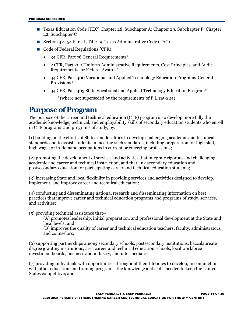- Texas Education Code (TEC) Chapter 28, Subchapter A; Chapter 29, Subchapter F; Chapter 42, Subchapter C
- Section 42.154 Part II, Title 19, Texas Administrative Code (TAC)
- Code of Federal Regulations (CFR):
	- 34 CFR, Part 76 General Requirements\*
	- 2 CFR, Part 200 Uniform Administrative Requirements, Cost Principles, and Audit Requirements for Federal Awards\*
	- 34 CFR, Part 400 Vocational and Applied Technology Education Programs-General Provisions\*
	- 34 CFR, Part 403 State Vocational and Applied Technology Education Program\*

\*(where not superseded by the requirements of P.L.115-224)

### <span id="page-10-0"></span>**Purpose of Program**

The purpose of the career and technical education (CTE) program is to develop more fully the academic knowledge, technical, and employability skills of secondary education students who enroll in CTE programs and programs of study, by:

(1) building on the efforts of States and localities to develop challenging academic and technical standards and to assist students in meeting such standards, including preparation for high skill, high wage, or in-demand occupations in current or emerging professions;

(2) promoting the development of services and activities that integrate rigorous and challenging academic and career and technical instruction, and that link secondary education and postsecondary education for participating career and technical education students;

(3) increasing State and local flexibility in providing services and activities designed to develop, implement, and improve career and technical education;

(4) conducting and disseminating national research and disseminating information on best practices that improve career and technical education programs and programs of study, services, and activities;

(5) providing technical assistance that--

(A) promotes leadership, initial preparation, and professional development at the State and local levels; and

(B) improves the quality of career and technical education teachers, faculty, administrators, and counselors;

(6) supporting partnerships among secondary schools, postsecondary institutions, baccalaureate degree granting institutions, area career and technical education schools, local workforce investment boards, business and industry, and intermediaries;

(7) providing individuals with opportunities throughout their lifetimes to develop, in conjunction with other education and training programs, the knowledge and skills needed to keep the United States competitive; and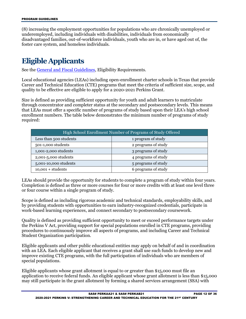(8) increasing the employment opportunities for populations who are chronically unemployed or underemployed, including individuals with disabilities, individuals from economically disadvantaged families, out-of-workforce individuals, youth who are in, or have aged out of, the foster care system, and homeless individuals.

## <span id="page-11-0"></span>**Eligible Applicants**

See the [General and Fiscal Guidelines,](http://tea.texas.gov/WorkArea/linkit.aspx?LinkIdentifier=id&ItemID=25769819073) Eligibility Requirements.

Local educational agencies (LEAs) including open-enrollment charter schools in Texas that provide Career and Technical Education (CTE) programs that meet the criteria of sufficient size, scope, and quality to be effective are eligible to apply for a 2020-2021 Perkins Grant.

Size is defined as providing sufficient opportunity for youth and adult learners to matriculate through concentrator and completer status at the secondary and postsecondary levels. This means that LEAs must offer a specific number of programs of study based upon their LEA's high school enrollment numbers. The table below demonstrates the minimum number of programs of study required:

| High School Enrollment Number of Programs of Study Offered |                     |  |  |
|------------------------------------------------------------|---------------------|--|--|
| Less than 500 students                                     | 1 program of study  |  |  |
| 501-1,000 students                                         | 2 programs of study |  |  |
| 1,001-2,000 students                                       | 3 programs of study |  |  |
| 2,001-5,000 students                                       | 4 programs of study |  |  |
| 5,001-10,000 students                                      | 5 programs of study |  |  |
| $10,001 +$ students                                        | 6 programs of study |  |  |

LEAs should provide the opportunity for students to complete a program of study within four years. Completion is defined as three or more courses for four or more credits with at least one level three or four course within a single program of study.

Scope is defined as including rigorous academic and technical standards, employability skills, and by providing students with opportunities to earn industry-recognized credentials, participate in work-based learning experiences, and connect secondary to postsecondary coursework.

Quality is defined as providing sufficient opportunity to meet or exceed performance targets under the Perkins V Act, providing support for special populations enrolled in CTE programs, providing procedures to continuously improve all aspects of programs, and including Career and Technical Student Organization participation.

Eligible applicants and other public educational entities may apply on behalf of and in coordination with an LEA. Each eligible applicant that receives a grant shall use such funds to develop new and improve existing CTE programs, with the full participation of individuals who are members of special populations.

Eligible applicants whose grant allotment is equal to or greater than \$15,000 must file an application to receive federal funds. An eligible applicant whose grant allotment is less than \$15,000 may still participate in the grant allotment by forming a shared services arrangement (SSA) with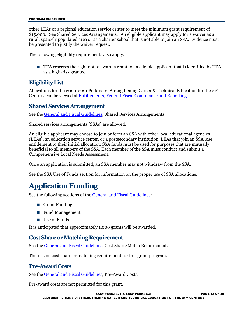other LEAs or a regional education service center to meet the minimum grant requirement of \$15,000. (See Shared Services Arrangements.) An eligible applicant may apply for a waiver as a rural, sparsely populated area or as a charter school that is not able to join an SSA. Evidence must be presented to justify the waiver request.

The following eligibility requirements also apply:

■ TEA reserves the right not to award a grant to an eligible applicant that is identified by TEA as a high-risk grantee.

#### <span id="page-12-0"></span>**Eligibility List**

Allocations for the 2020-2021 Perkins V: Strengthening Career & Technical Education for the 21st Century can be viewed at [Entitlements, Federal Fiscal Compliance and Reporting](https://tea.texas.gov/Finance_and_Grants/Grants/Applying_for_a_Grant/Entitlements,_Grants_Administration_Division/)

#### <span id="page-12-1"></span>**Shared Services Arrangement**

See the [General and Fiscal Guidelines,](http://tea.texas.gov/WorkArea/linkit.aspx?LinkIdentifier=id&ItemID=25769819073) Shared Services Arrangements.

Shared services arrangements (SSAs) are allowed.

An eligible applicant may choose to join or form an SSA with other local educational agencies (LEAs), an education service center, or a postsecondary institution. LEAs that join an SSA lose entitlement to their initial allocation; SSA funds must be used for purposes that are mutually beneficial to all members of the SSA. Each member of the SSA must conduct and submit a Comprehensive Local Needs Assessment.

Once an application is submitted, an SSA member may not withdraw from the SSA.

<span id="page-12-2"></span>See the SSA Use of Funds section for information on the proper use of SSA allocations.

## **Application Funding**

See the following sections of the [General and Fiscal Guidelines:](http://tea.texas.gov/WorkArea/linkit.aspx?LinkIdentifier=id&ItemID=25769819073)

- **Grant Funding**
- Fund Management
- Use of Funds

It is anticipated that approximately 1,000 grants will be awarded.

#### <span id="page-12-3"></span>**Cost Share or Matching Requirement**

See the [General and Fiscal Guidelines,](http://tea.texas.gov/WorkArea/linkit.aspx?LinkIdentifier=id&ItemID=25769819073) Cost Share/Match Requirement.

There is no cost share or matching requirement for this grant program.

#### <span id="page-12-4"></span>**Pre-Award Costs**

See th[e General and Fiscal Guidelines,](http://tea.texas.gov/WorkArea/linkit.aspx?LinkIdentifier=id&ItemID=25769819073) Pre-Award Costs.

Pre-award costs are not permitted for this grant.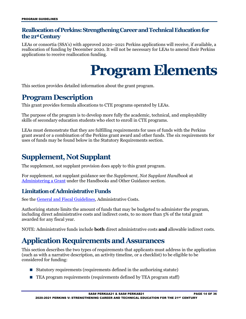#### <span id="page-13-0"></span>**Reallocation of Perkins: Strengthening Career andTechnical Education for the 21stCentury**

<span id="page-13-1"></span>LEAs or consortia (SSA's) with approved 2020–2021 Perkins applications will receive, if available, a reallocation of funding by December 2020. It will not be necessary for LEAs to amend their Perkins applications to receive reallocation funding.

## **Program Elements**

This section provides detailed information about the grant program.

### <span id="page-13-2"></span>**Program Description**

This grant provides formula allocations to CTE programs operated by LEAs.

The purpose of the program is to develop more fully the academic, technical, and employability skills of secondary education students who elect to enroll in CTE programs.

LEAs must demonstrate that they are fulfilling requirements for uses of funds with the Perkins grant award or a combination of the Perkins grant award and other funds. The six requirements for uses of funds may be found below in the Statutory Requirements section.

## <span id="page-13-3"></span>**Supplement, Not Supplant**

The supplement, not supplant provision does apply to this grant program.

For supplement, not supplant guidance see the *Supplement, Not Supplant Handbook* at [Administering](https://tea.texas.gov/Finance_and_Grants/Administering_a_Grant.aspx) a Grant under the Handbooks and Other Guidance section.

#### <span id="page-13-4"></span>**Limitation of Administrative Funds**

See th[e General and Fiscal Guidelines,](http://tea.texas.gov/WorkArea/linkit.aspx?LinkIdentifier=id&ItemID=25769819073) Administrative Costs.

Authorizing statute limits the amount of funds that may be budgeted to administer the program, including direct administrative costs and indirect costs, to no more than 5% of the total grant awarded for any fiscal year.

NOTE: Administrative funds include **both** direct administrative costs **and** allowable indirect costs.

## <span id="page-13-5"></span>**Application Requirements and Assurances**

This section describes the two types of requirements that applicants must address in the application (such as with a narrative description, an activity timeline, or a checklist) to be eligible to be considered for funding:

- Statutory requirements (requirements defined in the authorizing statute)
- TEA program requirements (requirements defined by TEA program staff)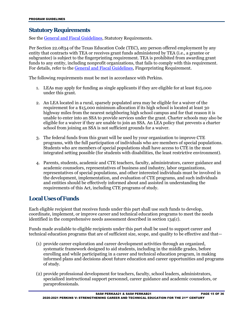#### <span id="page-14-0"></span>**Statutory Requirements**

See th[e General and Fiscal Guidelines,](http://tea.texas.gov/WorkArea/linkit.aspx?LinkIdentifier=id&ItemID=25769819073) Statutory Requirements.

Per Section 22.0834 of the Texas Education Code (TEC), any person offered employment by any entity that contracts with TEA or receives grant funds administered by TEA (i.e., a grantee or subgrantee) is subject to the fingerprinting requirement. TEA is prohibited from awarding grant funds to any entity, including nonprofit organizations, that fails to comply with this requirement. For details, refer to the [General and Fiscal Guidelines,](http://tea.texas.gov/WorkArea/linkit.aspx?LinkIdentifier=id&ItemID=25769819073) Fingerprinting Requirement.

The following requirements must be met in accordance with Perkins.

- 1. LEAs may apply for funding as single applicants if they are eligible for at least \$15,000 under this grant.
- 2. An LEA located in a rural, sparsely populated area may be eligible for a waiver of the requirement for a \$15,000 minimum allocation if its high school is located at least 30 highway miles from the nearest neighboring high school campus and for that reason it is unable to enter into an SSA to provide services under the grant. Charter schools may also be eligible for a waiver if they are unable to join an SSA. An LEA policy that prevents a charter school from joining an SSA is not sufficient grounds for a waiver.
- 3. The federal funds from this grant will be used by your organization to improve CTE programs, with the full participation of individuals who are members of special populations. Students who are members of special populations shall have access to CTE in the most integrated setting possible (for students with disabilities, the least restrictive environment).
- 4. Parents, students, academic and CTE teachers, faculty, administrators, career guidance and academic counselors, representatives of business and industry, labor organizations, representatives of special populations, and other interested individuals must be involved in the development, implementation, and evaluation of CTE programs, and such individuals and entities should be effectively informed about and assisted in understanding the requirements of this Act, including CTE programs of study.

#### **Local Uses of Funds**

Each eligible recipient that receives funds under this part shall use such funds to develop, coordinate, implement, or improve career and technical education programs to meet the needs identified in the comprehensive needs assessment described in section 134(c).

Funds made available to eligible recipients under this part shall be used to support career and technical education programs that are of sufficient size, scope, and quality to be effective and that—

- (1) provide career exploration and career development activities through an organized, systematic framework designed to aid students, including in the middle grades, before enrolling and while participating in a career and technical education program, in making informed plans and decisions about future education and career opportunities and programs of study.
- (2) provide professional development for teachers, faculty, school leaders, administrators, specialized instructional support personnel, career guidance and academic counselors, or paraprofessionals.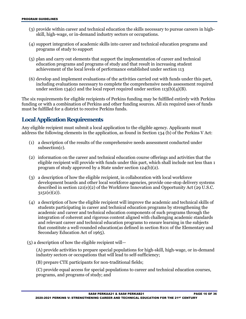- (3) provide within career and technical education the skills necessary to pursue careers in highskill, high-wage, or in-demand industry sectors or occupations.
- (4) support integration of academic skills into career and technical education programs and programs of study to support
- (5) plan and carry out elements that support the implementation of career and technical education programs and programs of study and that result in increasing student achievement of the local levels of performance established under section 113
- (6) develop and implement evaluations of the activities carried out with funds under this part, including evaluations necessary to complete the comprehensive needs assessment required under section 134(c) and the local report required under section 113(b)(4)(B).

The six requirements for eligible recipients of Perkins funding may be fulfilled entirely with Perkins funding or with a combination of Perkins and other funding sources. All six required uses of funds must be fulfilled for a district to receive Perkins funds.

#### <span id="page-15-0"></span>**Local Application Requirements**

Any eligible recipient must submit a local application to the eligible agency. Applicants must address the following elements in the application, as found in Section 134 (b) of the Perkins V Act:

- (1) a description of the results of the comprehensive needs assessment conducted under subsection(c).
- (2) information on the career and technical education course offerings and activities that the eligible recipient will provide with funds under this part, which shall include not less than 1 program of study approved by a State under section 124(b)(2).
- (3) a description of how the eligible recipient, in collaboration with local workforce development boards and other local workforce agencies, provide one-stop delivery systems described in section  $121(e)(2)$  of the Workforce Innovation and Opportunity Act (29 U.S.C.  $3151(e)(2)$ ).
- (4) a description of how the eligible recipient will improve the academic and technical skills of students participating in career and technical education programs by strengthening the academic and career and technical education components of such programs through the integration of coherent and rigorous content aligned with challenging academic standards and relevant career and technical education programs to ensure learning in the subjects that constitute a well-rounded education(as defined in section 8101 of the Elementary and Secondary Education Act of 1965).
- (5) a description of how the eligible recipient will—

(A) provide activities to prepare special populations for high-skill, high-wage, or in-demand industry sectors or occupations that will lead to self-sufficiency;

(B) prepare CTE participants for non-traditional fields;

(C) provide equal access for special populations to career and technical education courses, programs, and programs of study; and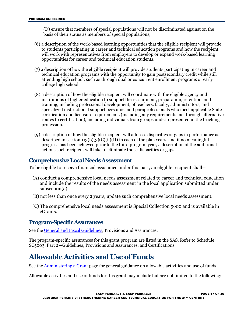(D) ensure that members of special populations will not be discriminated against on the basis of their status as members of special populations;

- (6) a description of the work-based learning opportunities that the eligible recipient will provide to students participating in career and technical education programs and how the recipient will work with representatives from employers to develop or expand work-based learning opportunities for career and technical education students.
- (7) a description of how the eligible recipient will provide students participating in career and technical education programs with the opportunity to gain postsecondary credit while still attending high school, such as through dual or concurrent enrollment programs or early college high school.
- (8) a description of how the eligible recipient will coordinate with the eligible agency and institutions of higher education to support the recruitment, preparation, retention, and training, including professional development, of teachers, faculty, administrators, and specialized instructional support personnel and paraprofessionals who meet applicable State certification and licensure requirements (including any requirements met through alternative routes to certification), including individuals from groups underrepresented in the teaching profession.
- (9) a description of how the eligible recipient will address disparities or gaps in performance as described in section  $113(b)(3)(C)(ii)(II)$  in each of the plan years, and if no meaningful progress has been achieved prior to the third program year, a description of the additional actions such recipient will take to eliminate those disparities or gaps.

#### <span id="page-16-0"></span>**Comprehensive Local Needs Assessment**

To be eligible to receive financial assistance under this part, an eligible recipient shall--

- (A) conduct a comprehensive local needs assessment related to career and technical education and include the results of the needs assessment in the local application submitted under subsection(a).
- (B) not less than once every 2 years, update such comprehensive local needs assessment.
- (C) The comprehensive local needs assessment is Special Collection 5600 and is available in eGrants.

#### <span id="page-16-1"></span>**Program-Specific Assurances**

See th[e General and Fiscal Guidelines,](http://tea.texas.gov/WorkArea/linkit.aspx?LinkIdentifier=id&ItemID=25769819073) Provisions and Assurances.

The program-specific assurances for this grant program are listed in the SAS. Refer to Schedule SC5003, Part 2—Guidelines, Provisions and Assurances, and Certifications.

## <span id="page-16-2"></span>**Allowable Activities and Use of Funds**

See the **Administering a Grant** page for general guidance on allowable activities and use of funds.

Allowable activities and use of funds for this grant may include but are not limited to the following: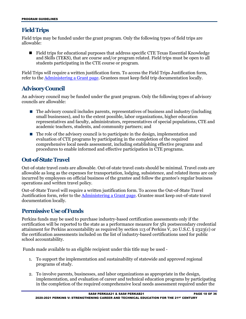#### <span id="page-17-0"></span>**Field Trips**

Field trips may be funded under the grant program. Only the following types of field trips are allowable:

 Field trips for educational purposes that address specific CTE Texas Essential Knowledge and Skills (TEKS), that are course and/or program related. Field trips must be open to all students participating in the CTE course or program.

Field Trips will require a written justification form. To access the Field Trips Justification form, refer to the [Administering a Grant page.](http://tea.texas.gov/Finance_and_Grants/Administering_a_Grant.aspx) Grantees must keep field trip documentation locally.

#### <span id="page-17-1"></span>**Advisory Council**

An advisory council may be funded under the grant program. Only the following types of advisory councils are allowable:

- The advisory council includes parents, representatives of business and industry (including small businesses), and to the extent possible, labor organizations, higher education representatives and faculty, administrators, representatives of special populations, CTE and academic teachers, students, and community partners; and
- The role of the advisory council is to participate in the design, implementation and evaluation of CTE programs by participating in the completion of the required comprehensive local needs assessment, including establishing effective programs and procedures to enable informed and effective participation in CTE programs.

#### <span id="page-17-2"></span>**Out-of-State Travel**

Out-of-state travel costs are allowable. Out-of-state travel costs should be minimal. Travel costs are allowable as long as the expenses for transportation, lodging, subsistence, and related items are only incurred by employees on official business of the grantee and follow the grantee's regular business operations and written travel policy.

Out-of-State Travel will require a written justification form. To access the Out-of-State Travel Justification form, refer to the [Administering a Grant page.](http://tea.texas.gov/Finance_and_Grants/Administering_a_Grant.aspx) Grantee must keep out-of-state travel documentation locally.

#### <span id="page-17-3"></span>**Permissive Use of Funds**

Perkins funds may be used to purchase industry-based certification assessments only if the certification will be reported to the state as a performance measure for 5S1 postsecondary credential attainment for Perkins accountability as required by section 113 of Perkins V, 20 U.S.C. § 2323(c) or the certification assessments included on the list of industry-based certifications used for public school accountability.

Funds made available to an eligible recipient under this title may be used -

- 1. To support the implementation and sustainability of statewide and approved regional programs of study.
- 2. To involve parents, businesses, and labor organizations as appropriate in the design, implementation, and evaluation of career and technical education programs by participating in the completion of the required comprehensive local needs assessment required under the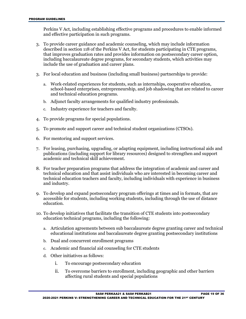Perkins V Act, including establishing effective programs and procedures to enable informed and effective participation in such programs.

- 3. To provide career guidance and academic counseling, which may include information described in section 118 of the Perkins V Act, for students participating in CTE programs, that improves graduation rates and provides information on postsecondary career option, including baccalaureate degree programs, for secondary students, which activities may include the use of graduation and career plans.
- 3. For local education and business (including small business) partnerships to provide:
	- a. Work-related experiences for students, such as internships, cooperative education, school-based enterprises, entrepreneurship, and job shadowing that are related to career and technical education programs.
	- b. Adjunct faculty arrangements for qualified industry professionals.
	- c. Industry experience for teachers and faculty.
- 4. To provide programs for special populations.
- 5. To promote and support career and technical student organizations (CTSOs).
- 6. For mentoring and support services.
- 7. For leasing, purchasing, upgrading, or adapting equipment, including instructional aids and publications (including support for library resources) designed to strengthen and support academic and technical skill achievement.
- 8. For teacher preparation programs that address the integration of academic and career and technical education and that assist individuals who are interested in becoming career and technical education teachers and faculty, including individuals with experience in business and industry.
- 9. To develop and expand postsecondary program offerings at times and in formats, that are accessible for students, including working students, including through the use of distance education.
- 10. To develop initiatives that facilitate the transition of CTE students into postsecondary education technical programs, including the following:
	- a. Articulation agreements between sub baccalaureate degree granting career and technical educational institutions and baccalaureate degree granting postsecondary institutions
	- b. Dual and concurrent enrollment programs
	- c. Academic and financial aid counseling for CTE students
	- d. Other initiatives as follows:
		- i. To encourage postsecondary education
		- ii. To overcome barriers to enrollment, including geographic and other barriers affecting rural students and special populations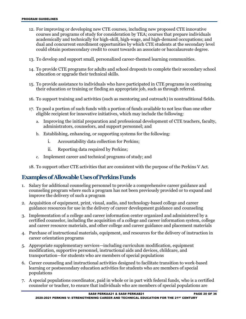- 12. For improving or developing new CTE courses, including new proposed CTE innovative courses and programs of study for consideration by TEA; courses that prepare individuals academically and technically for high-skill, high-wage, and high-demand occupations; and dual and concurrent enrollment opportunities by which CTE students at the secondary level could obtain postsecondary credit to count towards an associate or baccalaureate degree.
- 13. To develop and support small, personalized career-themed learning communities.
- 14. To provide CTE programs for adults and school dropouts to complete their secondary school education or upgrade their technical skills.
- 15. To provide assistance to individuals who have participated in CTE programs in continuing their education or training or finding an appropriate job, such as through referral.
- 16. To support training and activities (such as mentoring and outreach) in nontraditional fields.
- 17. To pool a portion of such funds with a portion of funds available to not less than one other eligible recipient for innovative initiatives, which may include the following:
	- a. Improving the initial preparation and professional development of CTE teachers, faculty, administrators, counselors, and support personnel; and
	- b. Establishing, enhancing, or supporting systems for the following:
		- i. Accountability data collection for Perkins;
		- ii. Reporting data required by Perkins;
	- c. Implement career and technical programs of study; and
- 18. To support other CTE activities that are consistent with the purpose of the Perkins V Act.

#### <span id="page-19-0"></span>**Examples of Allowable Uses of Perkins Funds**

- 1. Salary for additional counseling personnel to provide a comprehensive career guidance and counseling program where such a program has not been previously provided or to expand and improve the delivery of such a program
- 2. Acquisition of equipment, print, visual, audio, and technology-based college and career guidance resources for use in the delivery of career development guidance and counseling
- 3. Implementation of a college and career information center organized and administered by a certified counselor, including the acquisition of a college and career information system, college and career resource materials, and other college and career guidance and placement materials
- 4. Purchase of instructional materials, equipment, and resources for the delivery of instruction in career orientation programs
- 5. Appropriate supplementary services—including curriculum modification, equipment modification, supportive personnel, instructional aids and devices, childcare, and transportation—for students who are members of special populations
- 6. Career counseling and instructional activities designed to facilitate transition to work-based learning or postsecondary education activities for students who are members of special populations
- 7. A special populations coordinator, paid in whole or in part with federal funds, who is a certified counselor or teacher, to ensure that individuals who are members of special populations are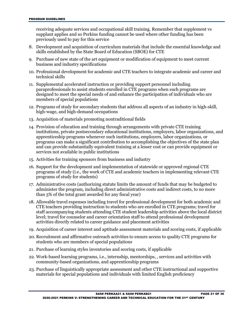receiving adequate services and occupational skill training. Remember that supplement vs supplant applies and so Perkins funding cannot be used where other funding has been previously used to pay for this service

- 8. Development and acquisition of curriculum materials that include the essential knowledge and skills established by the State Board of Education (SBOE) for CTE
- 9. Purchase of new state of the art equipment or modification of equipment to meet current business and industry specifications
- 10. Professional development for academic and CTE teachers to integrate academic and career and technical skills
- 11. Supplemental accelerated instruction or providing support personnel including paraprofessionals to assist students enrolled in CTE programs when such programs are designed to meet the special needs of and enhance the participation of individuals who are members of special populations
- 12. Programs of study for secondary students that address all aspects of an industry in high-skill, high-wage, and high-demand occupations
- 13. Acquisition of materials promoting nontraditional fields
- 14. Provision of education and training through arrangements with private CTE training institutions, private postsecondary educational institutions, employers, labor organizations, and apprenticeship programs whenever such institutions, employers, labor organizations, or programs can make a significant contribution to accomplishing the objectives of the state plan and can provide substantially equivalent training at a lesser cost or can provide equipment or services not available in public institutions
- 15. Activities for training sponsors from business and industry
- 16. Support for the development and implementation of statewide or approved regional CTE programs of study (i.e., the work of CTE and academic teachers in implementing relevant CTE programs of study for students)
- 17. Administrative costs (authorizing statute limits the amount of funds that may be budgeted to administer the program, including direct administrative costs and indirect costs, to no more than 5% of the total grant awarded for any fiscal year)
- 18. Allowable travel expenses including travel for professional development for both academic and CTE teachers providing instruction to students who are enrolled in CTE programs; travel for staff accompanying students attending CTE student leadership activities above the local district level; travel for counselor and career orientation staff to attend professional development activities directly related to career guidance and placement activities
- 19. Acquisition of career interest and aptitude assessment materials and scoring costs, if applicable
- 20. Recruitment and affirmative outreach activities to ensure access to quality CTE programs for students who are members of special populations
- 21. Purchase of learning styles inventories and scoring costs, if applicable
- 22. Work-based learning programs, i.e., internship, mentorships, , services and activities with community-based organizations, and apprenticeship programs
- 23. Purchase of linguistically appropriate assessment and other CTE instructional and supportive materials for special populations and individuals with limited English proficiency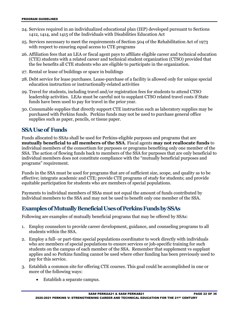- 24. Services required in an individualized educational plan (IEP) developed pursuant to Sections 1412, 1414, and 1415 of the Individuals with Disabilities Education Act
- 25. Services necessary to meet the requirements of Section 504 of the Rehabilitation Act of 1973 with respect to ensuring equal access to CTE programs
- 26. Affiliation fees that an LEA or fiscal agent pays to affiliate eligible career and technical education (CTE) students with a related career and technical student organization (CTSO) provided that the fee benefits all CTE students who are eligible to participate in the organization.
- 27. Rental or lease of buildings or space in buildings
- 28. Debt service for lease purchases. Lease-purchase of a facility is allowed only for unique special education instruction or instructionally-related activities
- 29. Travel for students, including travel and/or registration fees for students to attend CTSO leadership activities. LEAs must be careful not to supplant CTSO related travel costs if State funds have been used to pay for travel in the prior year.
- 30. Consumable supplies that directly support CTE instruction such as laboratory supplies may be purchased with Perkins funds. Perkins funds may not be used to purchase general office supplies such as paper, pencils, or tissue paper.

#### <span id="page-21-0"></span>**SSA Use of Funds**

Funds allocated to SSAs shall be used for Perkins-eligible purposes and programs that are **mutually beneficial to all members of the SSA**. Fiscal agents **may not reallocate funds** to individual members of the consortium for purposes or programs benefiting only one member of the SSA. The action of flowing funds back to members of the SSA for purposes that are only beneficial to individual members does not constitute compliance with the "mutually beneficial purposes and programs" requirement.

Funds in the SSA must be used for programs that are of sufficient size, scope, and quality as to be effective; integrate academic and CTE; provide CTE programs of study for students; and provide equitable participation for students who are members of special populations.

Payments to individual members of SSAs must not equal the amount of funds contributed by individual members to the SSA and may not be used to benefit only one member of the SSA.

#### <span id="page-21-1"></span>**Examples of Mutually Beneficial Uses of Perkins Funds by SSAs**

Following are examples of mutually beneficial programs that may be offered by SSAs:

- 1. Employ counselors to provide career development, guidance, and counseling programs to all students within the SSA.
- 2. Employ a full- or part-time special populations coordinator to work directly with individuals who are members of special populations to ensure services or job-specific training for such students on the campus of each member of the SSA. Remember that supplement vs supplant applies and so Perkins funding cannot be used where other funding has been previously used to pay for this service.
- 3. Establish a common site for offering CTE courses. This goal could be accomplished in one or more of the following ways:
	- Establish a separate campus.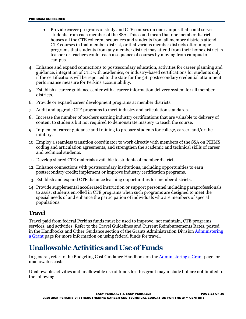- Provide career programs of study and CTE courses on one campus that could serve students from each member of the SSA. This could mean that one member district houses all the CTE coherent sequences and students from all member districts attend CTE courses in that member district, or that various member districts offer unique programs that students from any member district may attend from their home district. A teacher or teachers could teach a sequence of courses by moving from campus to campus.
- 4. Enhance and expand connections to postsecondary education, activities for career planning and guidance, integration of CTE with academics, or industry-based certifications for students only if the certifications will be reported to the state for the 5S1 postsecondary credential attainment performance measure for Perkins accountability.
- 5. Establish a career guidance center with a career information delivery system for all member districts.
- 6. Provide or expand career development programs at member districts.
- 7. Audit and upgrade CTE programs to meet industry and articulation standards.
- 8. Increase the number of teachers earning industry certifications that are valuable to delivery of content to students but not required to demonstrate mastery to teach the course.
- 9. Implement career guidance and training to prepare students for college, career, and/or the military.
- 10. Employ a seamless transition coordinator to work directly with members of the SSA on PEIMS coding and articulation agreements, and strengthen the academic and technical skills of career and technical students.
- 11. Develop shared CTE materials available to students of member districts.
- 12. Enhance connections with postsecondary institutions, including opportunities to earn postsecondary credit; implement or improve industry certification programs.
- 13. Establish and expand CTE distance learning opportunities for member districts.
- 14. Provide supplemental accelerated instruction or support personnel including paraprofessionals to assist students enrolled in CTE programs when such programs are designed to meet the special needs of and enhance the participation of individuals who are members of special populations.

#### <span id="page-22-0"></span>**Travel**

Travel paid from federal Perkins funds must be used to improve, not maintain, CTE programs, services, and activities. Refer to the Travel Guidelines and Current Reimbursements Rates, posted in the Handbooks and Other Guidance section of the Grants Administration Division [Administering](http://www.tea.texas.gov/WorkArea/linkit.aspx?LinkIdentifier=id&ItemID=25769814700)  [a Grant](http://www.tea.texas.gov/WorkArea/linkit.aspx?LinkIdentifier=id&ItemID=25769814700) page for more information on using federal funds for travel.

## <span id="page-22-1"></span>**Unallowable Activities and Use of Funds**

In general, refer to the Budgeting Cost Guidance Handbook on the **Administering a Grant** page for unallowable costs.

Unallowable activities and unallowable use of funds for this grant may include but are not limited to the following: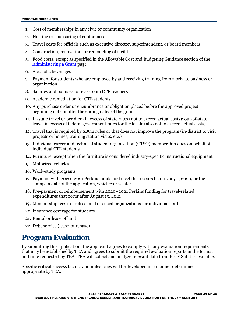- 1. Cost of memberships in any civic or community organization
- 2. Hosting or sponsoring of conferences
- 3. Travel costs for officials such as executive director, superintendent, or board members
- 4. Construction, renovation, or remodeling of facilities
- 5. Food costs, except as specified in the Allowable Cost and Budgeting Guidance section of the [Administering a Grant](http://www.tea.texas.gov/WorkArea/linkit.aspx?LinkIdentifier=id&ItemID=25769814700) page
- 6. Alcoholic beverages
- 7. Payment for students who are employed by and receiving training from a private business or organization
- 8. Salaries and bonuses for classroom CTE teachers
- 9. Academic remediation for CTE students
- 10. Any purchase order or encumbrance or obligation placed before the approved project beginning date or after the ending dates of the grant
- 11. In-state travel or per diem in excess of state rates (not to exceed actual costs); out-of-state travel in excess of federal government rates for the locale (also not to exceed actual costs)
- 12. Travel that is required by SBOE rules or that does not improve the program (in-district to visit projects or homes, training station visits, etc.)
- 13. Individual career and technical student organization (CTSO) membership dues on behalf of individual CTE students
- 14. Furniture, except when the furniture is considered industry-specific instructional equipment
- 15. Motorized vehicles
- 16. Work-study programs
- 17. Payment with 2020–2021 Perkins funds for travel that occurs before July 1, 2020, or the stamp-in date of the application, whichever is later
- 18. Pre-payment or reimbursement with 2020–2021 Perkins funding for travel-related expenditures that occur after August 15, 2021
- 19. Membership fees in professional or social organizations for individual staff
- 20. Insurance coverage for students
- 21. Rental or lease of land
- 22. Debt service (lease-purchase)

## <span id="page-23-0"></span>**Program Evaluation**

By submitting this application, the applicant agrees to comply with any evaluation requirements that may be established by TEA and agrees to submit the required evaluation reports in the format and time requested by TEA. TEA will collect and analyze relevant data from PEIMS if it is available.

Specific critical success factors and milestones will be developed in a manner determined appropriate by TEA.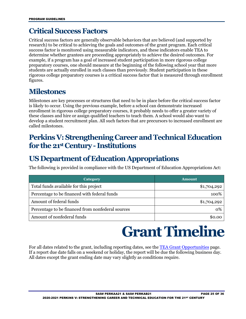## <span id="page-24-0"></span>**Critical Success Factors**

Critical success factors are generally observable behaviors that are believed (and supported by research) to be critical to achieving the goals and outcomes of the grant program. Each critical success factor is monitored using measurable indicators, and these indicators enable TEA to determine whether grantees are proceeding appropriately to achieve the desired outcomes. For example, if a program has a goal of increased student participation in more rigorous college preparatory courses, one should measure at the beginning of the following school year that more students are actually enrolled in such classes than previously. Student participation in these rigorous college preparatory courses is a critical success factor that is measured through enrollment figures.

## <span id="page-24-1"></span>**Milestones**

Milestones are key processes or structures that need to be in place before the critical success factor is likely to occur. Using the previous example, before a school can demonstrate increased enrollment in rigorous college preparatory courses, it probably needs to offer a greater variety of these classes and hire or assign qualified teachers to teach them. A school would also want to develop a student recruitment plan. All such factors that are precursors to increased enrollment are called milestones.

## <span id="page-24-2"></span>**Perkins V: Strengthening Career and Technical Education** for the 21<sup>st</sup> Century - Institutions

## <span id="page-24-3"></span>**US Department of Education Appropriations**

The following is provided in compliance with the US Department of Education Appropriations Act:

| Category                                          | <b>Amount</b> |
|---------------------------------------------------|---------------|
| Total funds available for this project            | \$1,704,292   |
| Percentage to be financed with federal funds      | 100\%         |
| Amount of federal funds                           | \$1,704,292   |
| Percentage to be financed from nonfederal sources | 0%            |
| Amount of nonfederal funds                        |               |

## **Grant Timeline**

<span id="page-24-4"></span>For all dates related to the grant, including reporting dates, see the <u>[TEA Grant Opportunities](http://burleson.tea.state.tx.us/GrantOpportunities/forms/GrantProgramSearch.aspx)</u> page. If a report due date falls on a weekend or holiday, the report will be due the following business day. All dates except the grant ending date may vary slightly as conditions require.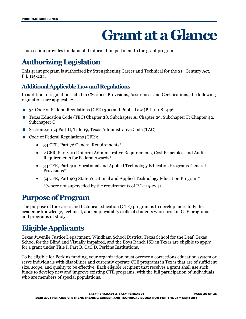## **Grant at a Glance**

<span id="page-25-0"></span>This section provides fundamental information pertinent to the grant program.

## <span id="page-25-1"></span>**Authorizing Legislation**

This grant program is authorized by Strengthening Career and Technical for the 21st Century Act, P.L.115-224.

#### <span id="page-25-2"></span>**Additional Applicable Law and Regulations**

In addition to regulations cited in CS7000—Provisions, Assurances and Certifications, the following regulations are applicable:

- 34 Code of Federal Regulations (CFR) 300 and Public Law (P.L.) 108–446
- Texas Education Code (TEC) Chapter 28, Subchapter A; Chapter 29, Subchapter F; Chapter 42, Subchapter C
- Section 42.154 Part II, Title 19, Texas Administrative Code (TAC)
- Code of Federal Regulations (CFR):
	- 34 CFR, Part 76 General Requirements\*
	- 2 CFR, Part 200 Uniform Administrative Requirements, Cost Principles, and Audit Requirements for Federal Awards\*
	- 34 CFR, Part 400 Vocational and Applied Technology Education Programs-General Provisions\*
	- 34 CFR, Part 403 State Vocational and Applied Technology Education Program\*

\*(where not superseded by the requirements of P.L.115-224)

## <span id="page-25-3"></span>**Purpose of Program**

The purpose of the career and technical education (CTE) program is to develop more fully the academic knowledge, technical, and employability skills of students who enroll in CTE programs and programs of study.

## <span id="page-25-4"></span>**Eligible Applicants**

Texas Juvenile Justice Department, Windham School District, Texas School for the Deaf, Texas School for the Blind and Visually Impaired, and the Boys Ranch ISD in Texas are eligible to apply for a grant under Title I, Part B, Carl D. Perkins Institutions.

To be eligible for Perkins funding, your organization must oversee a corrections education system or serve individuals with disabilities and currently operate CTE programs in Texas that are of sufficient size, scope, and quality to be effective. Each eligible recipient that receives a grant shall use such funds to develop new and improve existing CTE programs, with the full participation of individuals who are members of special populations.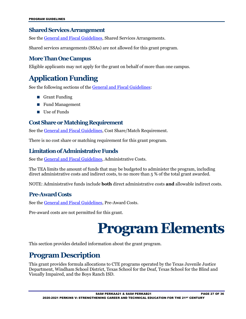#### <span id="page-26-0"></span>**Shared Services Arrangement**

See th[e General and Fiscal Guidelines,](http://tea.texas.gov/WorkArea/linkit.aspx?LinkIdentifier=id&ItemID=25769819073) Shared Services Arrangements.

Shared services arrangements (SSAs) are not allowed for this grant program.

#### <span id="page-26-1"></span>**More Than One Campus**

Eligible applicants may not apply for the grant on behalf of more than one campus.

## <span id="page-26-2"></span>**Application Funding**

See the following sections of th[e General and Fiscal Guidelines:](http://tea.texas.gov/WorkArea/linkit.aspx?LinkIdentifier=id&ItemID=25769819073)

- **Grant Funding**
- Fund Management
- **Use of Funds**

#### <span id="page-26-3"></span>**Cost Share or Matching Requirement**

See th[e General and Fiscal Guidelines,](http://tea.texas.gov/WorkArea/linkit.aspx?LinkIdentifier=id&ItemID=25769819073) Cost Share/Match Requirement.

There is no cost share or matching requirement for this grant program.

#### <span id="page-26-4"></span>**Limitation of Administrative Funds**

See th[e General and Fiscal Guidelines,](http://tea.texas.gov/WorkArea/linkit.aspx?LinkIdentifier=id&ItemID=25769819073) Administrative Costs.

The TEA limits the amount of funds that may be budgeted to administer the program, including direct administrative costs and indirect costs, to no more than 5 % of the total grant awarded.

NOTE: Administrative funds include **both** direct administrative costs **and** allowable indirect costs.

#### <span id="page-26-5"></span>**Pre-Award Costs**

See th[e General and Fiscal Guidelines,](http://tea.texas.gov/WorkArea/linkit.aspx?LinkIdentifier=id&ItemID=25769819073) Pre-Award Costs.

<span id="page-26-6"></span>Pre-award costs are not permitted for this grant.

## **Program Elements**

This section provides detailed information about the grant program.

### <span id="page-26-7"></span>**Program Description**

This grant provides formula allocations to CTE programs operated by the Texas Juvenile Justice Department, Windham School District, Texas School for the Deaf, Texas School for the Blind and Visually Impaired, and the Boys Ranch ISD.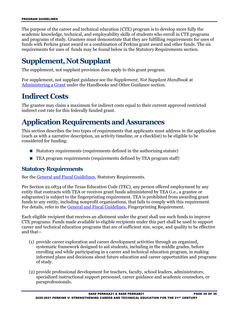The purpose of the career and technical education (CTE) program is to develop more fully the academic knowledge, technical, and employability skills of students who enroll in CTE programs and programs of study. Grantees must demonstrate that they are fulfilling requirements for uses of funds with Perkins grant award or a combination of Perkins grant award and other funds. The six requirements for uses of funds may be found below in the Statutory Requirements section.

## <span id="page-27-0"></span>**Supplement, Not Supplant**

The supplement, not supplant provision does apply to this grant program.

For supplement, not supplant guidance see the *Supplement, Not Supplant Handbook* at [Administering](https://tea.texas.gov/Finance_and_Grants/Administering_a_Grant.aspx) a Grant under the Handbooks and Other Guidance section.

## <span id="page-27-1"></span>**Indirect Costs**

The grantee may claim a maximum for indirect costs equal to their current approved restricted indirect cost rate for this federally funded grant.

## <span id="page-27-2"></span>**Application Requirements and Assurances**

This section describes the two types of requirements that applicants must address in the application (such as with a narrative description, an activity timeline, or a checklist) to be eligible to be considered for funding:

- Statutory requirements (requirements defined in the authorizing statute)
- TEA program requirements (requirements defined by TEA program staff)

#### <span id="page-27-3"></span>**Statutory Requirements**

See th[e General and Fiscal Guidelines,](http://tea.texas.gov/WorkArea/linkit.aspx?LinkIdentifier=id&ItemID=25769819073) Statutory Requirements.

Per Section 22.0834 of the Texas Education Code (TEC), any person offered employment by any entity that contracts with TEA or receives grant funds administered by TEA (i.e., a grantee or subgrantee) is subject to the fingerprinting requirement. TEA is prohibited from awarding grant funds to any entity, including nonprofit organizations, that fails to comply with this requirement. For details, refer to the [General and Fiscal Guidelines,](http://tea.texas.gov/WorkArea/linkit.aspx?LinkIdentifier=id&ItemID=25769819073) Fingerprinting Requirement.

Each eligible recipient that receives an allotment under the grant shall use such funds to improve CTE programs. Funds made available to eligible recipients under this part shall be used to support career and technical education programs that are of sufficient size, scope, and quality to be effective and that—

- (1) provide career exploration and career development activities through an organized, systematic framework designed to aid students, including in the middle grades, before enrolling and while participating in a career and technical education program, in making informed plans and decisions about future education and career opportunities and programs of study.
- (2) provide professional development for teachers, faculty, school leaders, administrators, specialized instructional support personnel, career guidance and academic counselors, or paraprofessionals.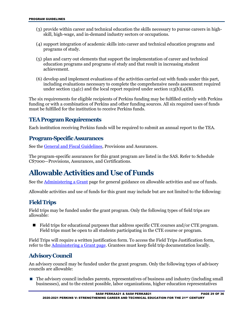- (3) provide within career and technical education the skills necessary to pursue careers in highskill, high-wage, and in-demand industry sectors or occupations.
- (4) support integration of academic skills into career and technical education programs and programs of study.
- (5) plan and carry out elements that support the implementation of career and technical education programs and programs of study and that result in increasing student achievement.
- (6) develop and implement evaluations of the activities carried out with funds under this part, including evaluations necessary to complete the comprehensive needs assessment required under section 134(c) and the local report required under section 113(b)(4)(B).

The six requirements for eligible recipients of Perkins funding may be fulfilled entirely with Perkins funding or with a combination of Perkins and other funding sources. All six required uses of funds must be fulfilled for the institution to receive Perkins funds.

#### <span id="page-28-0"></span>**TEA Program Requirements**

Each institution receiving Perkins funds will be required to submit an annual report to the TEA.

#### <span id="page-28-1"></span>**Program-Specific Assurances**

See th[e General and Fiscal Guidelines,](http://tea.texas.gov/WorkArea/linkit.aspx?LinkIdentifier=id&ItemID=25769819073) Provisions and Assurances.

The program-specific assurances for this grant program are listed in the SAS. Refer to Schedule CS7000—Provisions, Assurances, and Certifications.

### <span id="page-28-2"></span>**Allowable Activities and Use of Funds**

See th[e Administering a Grant](http://www.tea.texas.gov/WorkArea/linkit.aspx?LinkIdentifier=id&ItemID=25769814700) page for general guidance on allowable activities and use of funds.

Allowable activities and use of funds for this grant may include but are not limited to the following:

#### <span id="page-28-3"></span>**Field Trips**

Field trips may be funded under the grant program. Only the following types of field trips are allowable:

■ Field trips for educational purposes that address specific CTE courses and/or CTE program. Field trips must be open to all students participating in the CTE course or program.

Field Trips will require a written justification form. To access the Field Trips Justification form, refer to the [Administering a Grant page.](http://tea.texas.gov/Finance_and_Grants/Administering_a_Grant.aspx) Grantees must keep field trip documentation locally.

#### <span id="page-28-4"></span>**Advisory Council**

An advisory council may be funded under the grant program. Only the following types of advisory councils are allowable:

■ The advisory council includes parents, representatives of business and industry (including small businesses), and to the extent possible, labor organizations, higher education representatives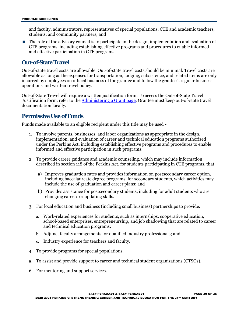and faculty, administrators, representatives of special populations, CTE and academic teachers, students, and community partners; and

■ The role of the advisory council is to participate in the design, implementation and evaluation of CTE programs, including establishing effective programs and procedures to enable informed and effective participation in CTE programs.

#### <span id="page-29-0"></span>**Out-of-State Travel**

Out-of-state travel costs are allowable. Out-of-state travel costs should be minimal. Travel costs are allowable as long as the expenses for transportation, lodging, subsistence, and related items are only incurred by employees on official business of the grantee and follow the grantee's regular business operations and written travel policy.

Out-of-State Travel will require a written justification form. To access the Out-of-State Travel Justification form, refer to the [Administering a Grant page.](http://tea.texas.gov/Finance_and_Grants/Administering_a_Grant.aspx) Grantee must keep out-of-state travel documentation locally.

#### <span id="page-29-1"></span>**Permissive Use of Funds**

Funds made available to an eligible recipient under this title may be used -

- 1. To involve parents, businesses, and labor organizations as appropriate in the design, implementation, and evaluation of career and technical education programs authorized under the Perkins Act, including establishing effective programs and procedures to enable informed and effective participation in such programs.
- 2. To provide career guidance and academic counseling, which may include information described in section 118 of the Perkins Act, for students participating in CTE programs, that:
	- a) Improves graduation rates and provides information on postsecondary career option, including baccalaureate degree programs, for secondary students, which activities may include the use of graduation and career plans; and
	- b) Provides assistance for postsecondary students, including for adult students who are changing careers or updating skills.
- 3. For local education and business (including small business) partnerships to provide:
	- a. Work-related experiences for students, such as internships, cooperative education, school-based enterprises, entrepreneurship, and job shadowing that are related to career and technical education programs;
	- b. Adjunct faculty arrangements for qualified industry professionals; and
	- c. Industry experience for teachers and faculty.
- 4. To provide programs for special populations.
- 5. To assist and provide support to career and technical student organizations (CTSOs).
- 6. For mentoring and support services.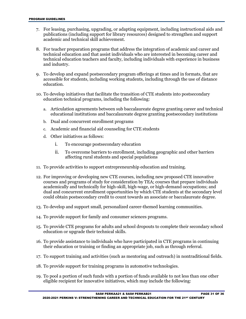- 7. For leasing, purchasing, upgrading, or adapting equipment, including instructional aids and publications (including support for library resources) designed to strengthen and support academic and technical skill achievement.
- 8. For teacher preparation programs that address the integration of academic and career and technical education and that assist individuals who are interested in becoming career and technical education teachers and faculty, including individuals with experience in business and industry.
- 9. To develop and expand postsecondary program offerings at times and in formats, that are accessible for students, including working students, including through the use of distance education.
- 10. To develop initiatives that facilitate the transition of CTE students into postsecondary education technical programs, including the following:
	- a. Articulation agreements between sub baccalaureate degree granting career and technical educational institutions and baccalaureate degree granting postsecondary institutions
	- b. Dual and concurrent enrollment programs
	- c. Academic and financial aid counseling for CTE students
	- d. Other initiatives as follows:
		- i. To encourage postsecondary education
		- ii. To overcome barriers to enrollment, including geographic and other barriers affecting rural students and special populations
- 11. To provide activities to support entrepreneurship education and training.
- 12. For improving or developing new CTE courses, including new proposed CTE innovative courses and programs of study for consideration by TEA; courses that prepare individuals academically and technically for high-skill, high-wage, or high-demand occupations; and dual and concurrent enrollment opportunities by which CTE students at the secondary level could obtain postsecondary credit to count towards an associate or baccalaureate degree.
- 13. To develop and support small, personalized career-themed learning communities.
- 14. To provide support for family and consumer sciences programs.
- 15. To provide CTE programs for adults and school dropouts to complete their secondary school education or upgrade their technical skills.
- 16. To provide assistance to individuals who have participated in CTE programs in continuing their education or training or finding an appropriate job, such as through referral.
- 17. To support training and activities (such as mentoring and outreach) in nontraditional fields.
- 18. To provide support for training programs in automotive technologies.
- 19. To pool a portion of such funds with a portion of funds available to not less than one other eligible recipient for innovative initiatives, which may include the following: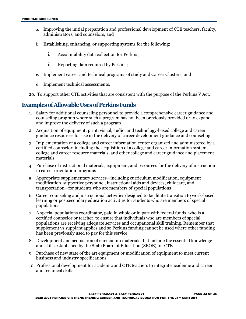- a. Improving the initial preparation and professional development of CTE teachers, faculty, administrators, and counselors; and
- b. Establishing, enhancing, or supporting systems for the following:
	- i. Accountability data collection for Perkins;
	- ii. Reporting data required by Perkins;
- c. Implement career and technical programs of study and Career Clusters; and
- d. Implement technical assessments.
- 20. To support other CTE activities that are consistent with the purpose of the Perkins V Act.

#### <span id="page-31-0"></span>**Examples of Allowable Uses of Perkins Funds**

- 1. Salary for additional counseling personnel to provide a comprehensive career guidance and counseling program where such a program has not been previously provided or to expand and improve the delivery of such a program
- 2. Acquisition of equipment, print, visual, audio, and technology-based college and career guidance resources for use in the delivery of career development guidance and counseling
- 3. Implementation of a college and career information center organized and administered by a certified counselor, including the acquisition of a college and career information system, college and career resource materials, and other college and career guidance and placement materials
- 4. Purchase of instructional materials, equipment, and resources for the delivery of instruction in career orientation programs
- 5. Appropriate supplementary services—including curriculum modification, equipment modification, supportive personnel, instructional aids and devices, childcare, and transportation—for students who are members of special populations
- 6. Career counseling and instructional activities designed to facilitate transition to work-based learning or postsecondary education activities for students who are members of special populations
- 7. A special populations coordinator, paid in whole or in part with federal funds, who is a certified counselor or teacher, to ensure that individuals who are members of special populations are receiving adequate services and occupational skill training. Remember that supplement vs supplant applies and so Perkins funding cannot be used where other funding has been previously used to pay for this service
- 8. Development and acquisition of curriculum materials that include the essential knowledge and skills established by the State Board of Education (SBOE) for CTE
- 9. Purchase of new state of the art equipment or modification of equipment to meet current business and industry specifications
- 10. Professional development for academic and CTE teachers to integrate academic and career and technical skills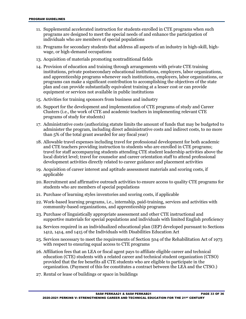- 11. Supplemental accelerated instruction for students enrolled in CTE programs when such programs are designed to meet the special needs of and enhance the participation of individuals who are members of special populations
- 12. Programs for secondary students that address all aspects of an industry in high-skill, highwage, or high-demand occupations
- 13. Acquisition of materials promoting nontraditional fields
- 14. Provision of education and training through arrangements with private CTE training institutions, private postsecondary educational institutions, employers, labor organizations, and apprenticeship programs whenever such institutions, employers, labor organizations, or programs can make a significant contribution to accomplishing the objectives of the state plan and can provide substantially equivalent training at a lesser cost or can provide equipment or services not available in public institutions
- 15. Activities for training sponsors from business and industry
- 16. Support for the development and implementation of CTE programs of study and Career Clusters (i.e., the work of CTE and academic teachers in implementing relevant CTE programs of study for students)
- 17. Administrative costs (authorizing statute limits the amount of funds that may be budgeted to administer the program, including direct administrative costs and indirect costs, to no more than 5% of the total grant awarded for any fiscal year)
- 18. Allowable travel expenses including travel for professional development for both academic and CTE teachers providing instruction to students who are enrolled in CTE programs; travel for staff accompanying students attending CTE student leadership activities above the local district level; travel for counselor and career orientation staff to attend professional development activities directly related to career guidance and placement activities
- 19. Acquisition of career interest and aptitude assessment materials and scoring costs, if applicable
- 20. Recruitment and affirmative outreach activities to ensure access to quality CTE programs for students who are members of special populations
- 21. Purchase of learning styles inventories and scoring costs, if applicable
- 22. Work-based learning programs, i.e., internship, paid-training, services and activities with community-based organizations, and apprenticeship programs
- 23. Purchase of linguistically appropriate assessment and other CTE instructional and supportive materials for special populations and individuals with limited English proficiency
- 24. Services required in an individualized educational plan (IEP) developed pursuant to Sections 1412, 1414, and 1415 of the Individuals with Disabilities Education Act
- 25. Services necessary to meet the requirements of Section 504 of the Rehabilitation Act of 1973 with respect to ensuring equal access to CTE programs
- 26. Affiliation fees that an LEA or fiscal agent pays to affiliate eligible career and technical education (CTE) students with a related career and technical student organization (CTSO) provided that the fee benefits all CTE students who are eligible to participate in the organization. (Payment of this fee constitutes a contract between the LEA and the CTSO.)
- 27. Rental or lease of buildings or space in buildings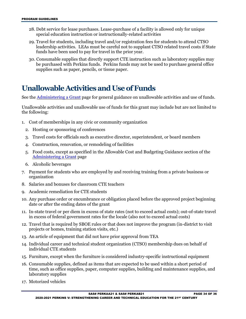- 28. Debt service for lease purchases. Lease-purchase of a facility is allowed only for unique special education instruction or instructionally-related activities
- 29. Travel for students, including travel and/or registration fees for students to attend CTSO leadership activities. LEAs must be careful not to supplant CTSO related travel costs if State funds have been used to pay for travel in the prior year.
- 30. Consumable supplies that directly support CTE instruction such as laboratory supplies may be purchased with Perkins funds. Perkins funds may not be used to purchase general office supplies such as paper, pencils, or tissue paper.

### <span id="page-33-0"></span>**Unallowable Activitiesand Use of Funds**

See the **Administering a Grant page for general guidance on unallowable activities and use of funds.** 

Unallowable activities and unallowable use of funds for this grant may include but are not limited to the following:

- 1. Cost of memberships in any civic or community organization
	- 2. Hosting or sponsoring of conferences
	- 3. Travel costs for officials such as executive director, superintendent, or board members
	- 4. Construction, renovation, or remodeling of facilities
	- 5. Food costs, except as specified in the Allowable Cost and Budgeting Guidance section of the [Administering a Grant](http://www.tea.texas.gov/WorkArea/linkit.aspx?LinkIdentifier=id&ItemID=25769814700) page
	- 6. Alcoholic beverages
- 7. Payment for students who are employed by and receiving training from a private business or organization
- 8. Salaries and bonuses for classroom CTE teachers
- 9. Academic remediation for CTE students
- 10. Any purchase order or encumbrance or obligation placed before the approved project beginning date or after the ending dates of the grant
- 11. In-state travel or per diem in excess of state rates (not to exceed actual costs); out-of-state travel in excess of federal government rates for the locale (also not to exceed actual costs)
- 12. Travel that is required by SBOE rules or that does not improve the program (in-district to visit projects or homes, training station visits, etc.)
- 13. An article of equipment that did not have prior approval from TEA
- 14. Individual career and technical student organization (CTSO) membership dues on behalf of individual CTE students
- 15. Furniture, except when the furniture is considered industry-specific instructional equipment
- 16. Consumable supplies, defined as items that are expected to be used within a short period of time, such as office supplies, paper, computer supplies, building and maintenance supplies, and laboratory supplies
- 17. Motorized vehicles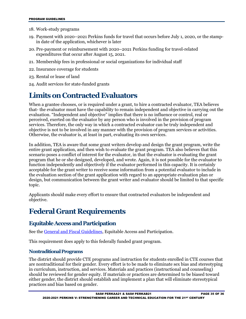- 18. Work-study programs
- 19. Payment with 2020–2021 Perkins funds for travel that occurs before July 1, 2020, or the stampin date of the application, whichever is later
- 20. Pre-payment or reimbursement with 2020–2021 Perkins funding for travel-related expenditures that occur after August 15, 2021.
- 21. Membership fees in professional or social organizations for individual staff
- 22. Insurance coverage for students
- 23. Rental or lease of land
- 24. Audit services for state-funded grants

### <span id="page-34-0"></span>**Limits on Contracted Evaluators**

When a grantee chooses, or is required under a grant, to hire a contracted evaluator, TEA believes that- the evaluator must have the capability to remain independent and objective in carrying out the evaluation. "Independent and objective" implies that there is no influence or control, real or perceived, exerted on the evaluator by any person who is involved in the provision of program services. Therefore, the only way in which a contracted evaluator can be truly independent and objective is not to be involved in any manner with the provision of program services or activities. Otherwise, the evaluator is, at least in part, evaluating its own services.

In addition, TEA is aware that some grant writers develop and design the grant program, write the entire grant application, and then wish to evaluate the grant program. TEA also believes that this scenario poses a conflict of interest for the evaluator, in that the evaluator is evaluating the grant program that he or she designed, developed, and wrote. Again, it is not possible for the evaluator to function independently and objectively if the evaluator performed in this capacity. It is certainly acceptable for the grant writer to receive some information from a potential evaluator to include in the evaluation section of the grant application with regard to an appropriate evaluation plan or design, but communication between the grant writer and evaluator should be limited to that specific topic.

Applicants should make every effort to ensure that contracted evaluators be independent and objective.

### <span id="page-34-1"></span>**Federal Grant Requirements**

#### <span id="page-34-2"></span>**Equitable Access and Participation**

See th[e General and Fiscal Guidelines,](http://tea.texas.gov/WorkArea/linkit.aspx?LinkIdentifier=id&ItemID=25769819073) Equitable Access and Participation.

This requirement does apply to this federally funded grant program.

#### **Nontraditional Programs**

The district should provide CTE programs and instruction for students enrolled in CTE courses that are nontraditional for their gender. Every effort is to be made to eliminate sex bias and stereotyping in curriculum, instruction, and services. Materials and practices (instructional and counseling) should be reviewed for gender equity. If materials or practices are determined to be biased toward either gender, the district should establish and implement a plan that will eliminate stereotypical practices and bias based on gender.